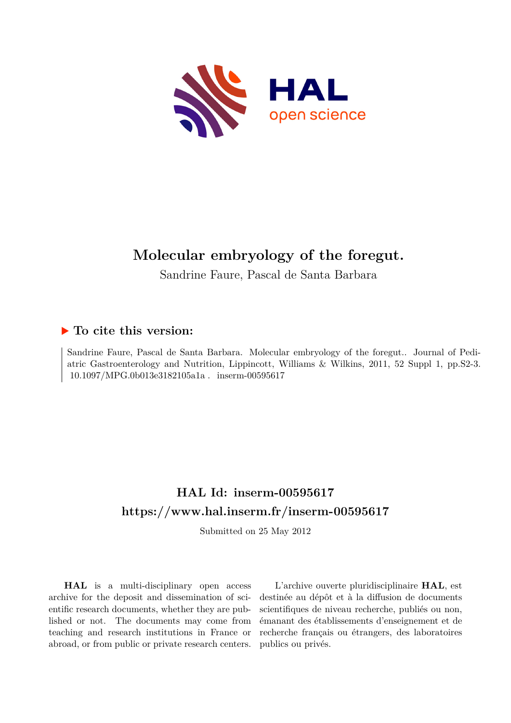

# **Molecular embryology of the foregut.**

Sandrine Faure, Pascal de Santa Barbara

# **To cite this version:**

Sandrine Faure, Pascal de Santa Barbara. Molecular embryology of the foregut.. Journal of Pediatric Gastroenterology and Nutrition, Lippincott, Williams & Wilkins, 2011, 52 Suppl 1, pp.S2-3.  $10.1097/MPG.0b013e3182105a1a$ . inserm-00595617

# **HAL Id: inserm-00595617 <https://www.hal.inserm.fr/inserm-00595617>**

Submitted on 25 May 2012

**HAL** is a multi-disciplinary open access archive for the deposit and dissemination of scientific research documents, whether they are published or not. The documents may come from teaching and research institutions in France or abroad, or from public or private research centers.

L'archive ouverte pluridisciplinaire **HAL**, est destinée au dépôt et à la diffusion de documents scientifiques de niveau recherche, publiés ou non, émanant des établissements d'enseignement et de recherche français ou étrangers, des laboratoires publics ou privés.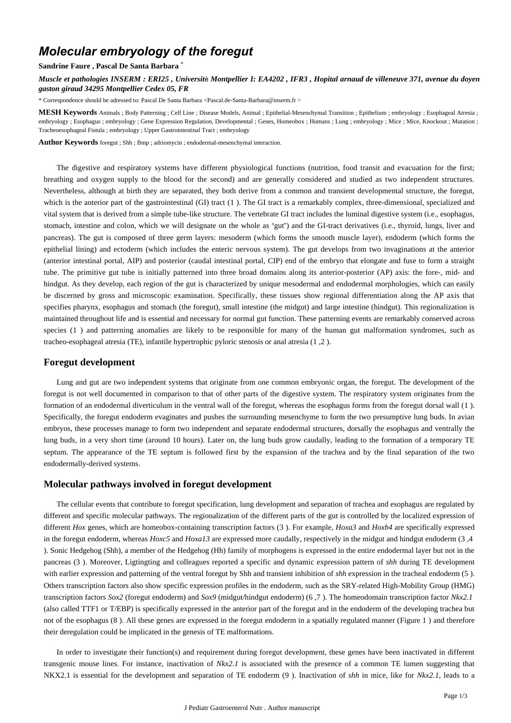# *Molecular embryology of the foregut*

#### **Sandrine Faure , Pascal De Santa Barbara** \*

*Muscle et pathologies INSERM : ERI25 , Universit*é *Montpellier I: EA4202 , IFR3 , Hopital arnaud de villeneuve 371, avenue du doyen gaston giraud 34295 Montpellier Cedex 05, FR*

\* Correspondence should be adressed to: Pascal De Santa Barbara <Pascal.de-Santa-Barbara@inserm.fr >

**MESH Keywords** Animals ; Body Patterning ; Cell Line ; Disease Models, Animal ; Epithelial-Mesenchymal Transition ; Epithelium ; embryology ; Esophageal Atresia ; embryology ; Esophagus ; embryology ; Gene Expression Regulation, Developmental ; Genes, Homeobox ; Humans ; Lung ; embryology ; Mice ; Mice, Knockout ; Mutation ; Tracheoesophageal Fistula ; embryology ; Upper Gastrointestinal Tract ; embryology

**Author Keywords** foregut ; Shh ; Bmp ; adriomycin ; endodermal-mesenchymal interaction.

The digestive and respiratory systems have different physiological functions (nutrition, food transit and evacuation for the first; breathing and oxygen supply to the blood for the second) and are generally considered and studied as two independent structures. Nevertheless, although at birth they are separated, they both derive from a common and transient developmental structure, the foregut, which is the anterior part of the gastrointestinal (GI) tract (1). The GI tract is a remarkably complex, three-dimensional, specialized and vital system that is derived from a simple tube-like structure. The vertebrate GI tract includes the luminal digestive system (i.e., esophagus, stomach, intestine and colon, which we will designate on the whole as "gut") and the GI-tract derivatives (i.e., thyroid, lungs, liver and pancreas). The gut is composed of three germ layers: mesoderm (which forms the smooth muscle layer), endoderm (which forms the epithelial lining) and ectoderm (which includes the enteric nervous system). The gut develops from two invaginations at the anterior (anterior intestinal portal, AIP) and posterior (caudal intestinal portal, CIP) end of the embryo that elongate and fuse to form a straight tube. The primitive gut tube is initially patterned into three broad domains along its anterior-posterior (AP) axis: the fore-, mid- and hindgut. As they develop, each region of the gut is characterized by unique mesodermal and endodermal morphologies, which can easily be discerned by gross and microscopic examination. Specifically, these tissues show regional differentiation along the AP axis that specifies pharynx, esophagus and stomach (the foregut), small intestine (the midgut) and large intestine (hindgut). This regionalization is maintained throughout life and is essential and necessary for normal gut function. These patterning events are remarkably conserved across species (1) and patterning anomalies are likely to be responsible for many of the human gut malformation syndromes, such as tracheo-esophageal atresia (TE), infantile hypertrophic pyloric stenosis or anal atresia (1 ,2 ).

## **Foregut development**

Lung and gut are two independent systems that originate from one common embryonic organ, the foregut. The development of the foregut is not well documented in comparison to that of other parts of the digestive system. The respiratory system originates from the formation of an endodermal diverticulum in the ventral wall of the foregut, whereas the esophagus forms from the foregut dorsal wall (1 ). Specifically, the foregut endoderm evaginates and pushes the surrounding mesenchyme to form the two presumptive lung buds. In avian embryos, these processes manage to form two independent and separate endodermal structures, dorsally the esophagus and ventrally the lung buds, in a very short time (around 10 hours). Later on, the lung buds grow caudally, leading to the formation of a temporary TE septum. The appearance of the TE septum is followed first by the expansion of the trachea and by the final separation of the two endodermally-derived systems.

## **Molecular pathways involved in foregut development**

The cellular events that contribute to foregut specification, lung development and separation of trachea and esophagus are regulated by different and specific molecular pathways. The regionalization of the different parts of the gut is controlled by the localized expression of different *Hox* genes, which are homeobox-containing transcription factors (3 ). For example, *Hoxa3* and *Hoxb4* are specifically expressed in the foregut endoderm, whereas *Hoxc5* and *Hoxa13* are expressed more caudally, respectively in the midgut and hindgut endoderm (3 ,4 ). Sonic Hedgehog (Shh), a member of the Hedgehog (Hh) family of morphogens is expressed in the entire endodermal layer but not in the pancreas (3 ). Moreover, Ligtingting and colleagues reported a specific and dynamic expression pattern of *shh* during TE development with earlier expression and patterning of the ventral foregut by Shh and transient inhibition of *shh* expression in the tracheal endoderm (5 ). Others transcription factors also show specific expression profiles in the endoderm, such as the SRY-related High-Mobility Group (HMG) transcription factors *Sox2* (foregut endoderm) and *Sox9* (midgut/hindgut endoderm) (6 ,7 ). The homeodomain transcription factor *Nkx2.1*  (also called TTF1 or T/EBP) is specifically expressed in the anterior part of the foregut and in the endoderm of the developing trachea but not of the esophagus (8 ). All these genes are expressed in the foregut endoderm in a spatially regulated manner (Figure 1 ) and therefore their deregulation could be implicated in the genesis of TE malformations.

In order to investigate their function(s) and requirement during foregut development, these genes have been inactivated in different transgenic mouse lines. For instance, inactivation of *Nkx2.1* is associated with the presence of a common TE lumen suggesting that NKX2.1 is essential for the development and separation of TE endoderm (9 ). Inactivation of *shh* in mice, like for *Nkx2.1,* leads to a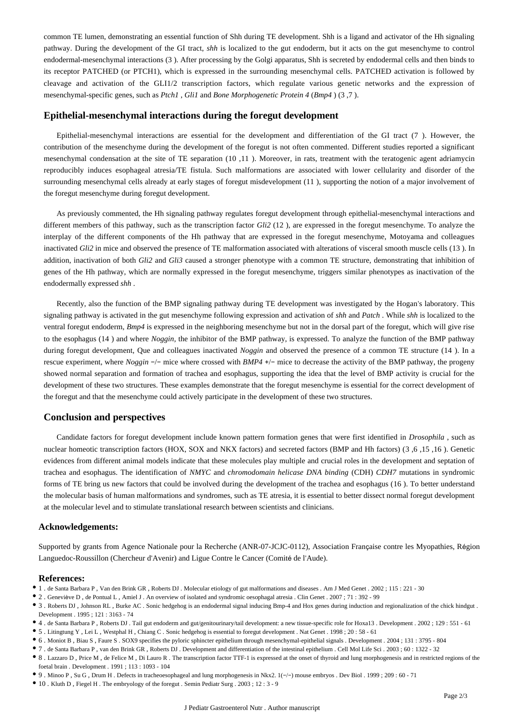common TE lumen, demonstrating an essential function of Shh during TE development. Shh is a ligand and activator of the Hh signaling pathway. During the development of the GI tract, *shh* is localized to the gut endoderm, but it acts on the gut mesenchyme to control endodermal-mesenchymal interactions (3 ). After processing by the Golgi apparatus, Shh is secreted by endodermal cells and then binds to its receptor PATCHED (or PTCH1), which is expressed in the surrounding mesenchymal cells. PATCHED activation is followed by cleavage and activation of the GLI1/2 transcription factors, which regulate various genetic networks and the expression of mesenchymal-specific genes, such as *Ptch1* , *Gli1* and *Bone Morphogenetic Protein 4* (*Bmp4* ) (3 ,7 ).

### **Epithelial-mesenchymal interactions during the foregut development**

Epithelial-mesenchymal interactions are essential for the development and differentiation of the GI tract (7 ). However, the contribution of the mesenchyme during the development of the foregut is not often commented. Different studies reported a significant mesenchymal condensation at the site of TE separation (10 ,11 ). Moreover, in rats, treatment with the teratogenic agent adriamycin reproducibly induces esophageal atresia/TE fistula. Such malformations are associated with lower cellularity and disorder of the surrounding mesenchymal cells already at early stages of foregut misdevelopment (11 ), supporting the notion of a major involvement of the foregut mesenchyme during foregut development.

As previously commented, the Hh signaling pathway regulates foregut development through epithelial-mesenchymal interactions and different members of this pathway, such as the transcription factor *Gli2* (12 ), are expressed in the foregut mesenchyme. To analyze the interplay of the different components of the Hh pathway that are expressed in the foregut mesenchyme, Motoyama and colleagues inactivated *Gli2* in mice and observed the presence of TE malformation associated with alterations of visceral smooth muscle cells (13 ). In addition, inactivation of both *Gli2* and *Gli3* caused a stronger phenotype with a common TE structure, demonstrating that inhibition of genes of the Hh pathway, which are normally expressed in the foregut mesenchyme, triggers similar phenotypes as inactivation of the endodermally expressed *shh* .

Recently, also the function of the BMP signaling pathway during TE development was investigated by the Hogan's laboratory. This signaling pathway is activated in the gut mesenchyme following expression and activation of *shh* and *Patch* . While *shh* is localized to the ventral foregut endoderm, *Bmp4* is expressed in the neighboring mesenchyme but not in the dorsal part of the foregut, which will give rise to the esophagus (14 ) and where *Noggin,* the inhibitor of the BMP pathway, is expressed. To analyze the function of the BMP pathway during foregut development, Que and colleagues inactivated *Noggin* and observed the presence of a common TE structure (14). In a rescue experiment, where *Noggin* −/− mice where crossed with *BMP4* +/− mice to decrease the activity of the BMP pathway, the progeny showed normal separation and formation of trachea and esophagus, supporting the idea that the level of BMP activity is crucial for the development of these two structures. These examples demonstrate that the foregut mesenchyme is essential for the correct development of the foregut and that the mesenchyme could actively participate in the development of these two structures.

#### **Conclusion and perspectives**

Candidate factors for foregut development include known pattern formation genes that were first identified in *Drosophila* , such as nuclear homeotic transcription factors (HOX, SOX and NKX factors) and secreted factors (BMP and Hh factors) (3 ,6 ,15 ,16 ). Genetic evidences from different animal models indicate that these molecules play multiple and crucial roles in the development and septation of trachea and esophagus. The identification of *NMYC* and *chromodomain helicase DNA binding* (CDH) *CDH7* mutations in syndromic forms of TE bring us new factors that could be involved during the development of the trachea and esophagus (16 ). To better understand the molecular basis of human malformations and syndromes, such as TE atresia, it is essential to better dissect normal foregut development at the molecular level and to stimulate translational research between scientists and clinicians.

#### **Acknowledgements:**

Supported by grants from Agence Nationale pour la Recherche (ANR-07-JCJC-0112), Association Française contre les Myopathies, Région Languedoc-Roussillon (Chercheur d'Avenir) and Ligue Contre le Cancer (Comité de l'Aude).

#### **References:**

- 1 . de Santa Barbara P , Van den Brink GR , Roberts DJ . Molecular etiology of gut malformations and diseases . Am J Med Genet . 2002 ; 115 : 221 30
- 2 . Geneviève D , de Pontual L , Amiel J . An overview of isolated and syndromic oesophagal atresia . Clin Genet . 2007 ; 71 : 392 99
- 3 . Roberts DJ , Johnson RL , Burke AC . Sonic hedgehog is an endodermal signal inducing Bmp-4 and Hox genes during induction and regionalization of the chick hindgut . Development . 1995 ; 121 : 3163 - 74
- 4 . de Santa Barbara P , Roberts DJ . Tail gut endoderm and gut/genitourinary/tail development: a new tissue-specific role for Hoxa13 . Development . 2002 ; 129 : 551 61
- 5 . Litingtung Y , Lei L , Westphal H , Chiang C . Sonic hedgehog is essential to foregut development . Nat Genet . 1998 ; 20 : 58 61
- 6 . Moniot B , Biau S , Faure S . SOX9 specifies the pyloric sphincter epithelium through mesenchymal-epithelial signals . Development . 2004 ; 131 : 3795 804
- 7 . de Santa Barbara P , van den Brink GR , Roberts DJ . Development and differentiation of the intestinal epithelium . Cell Mol Life Sci . 2003 ; 60 : 1322 32

- 9 . Minoo P , Su G , Drum H . Defects in tracheoesophageal and lung morphogenesis in Nkx2. 1(−/−) mouse embryos . Dev Biol . 1999 ; 209 : 60 71
- 10 . Kluth D , Fiegel H . The embryology of the foregut . Semin Pediatr Surg . 2003 ; 12 : 3 9

<sup>8 .</sup> Lazzaro D , Price M , de Felice M , Di Lauro R . The transcription factor TTF-1 is expressed at the onset of thyroid and lung morphogenesis and in restricted regions of the foetal brain . Development . 1991 ; 113 : 1093 - 104